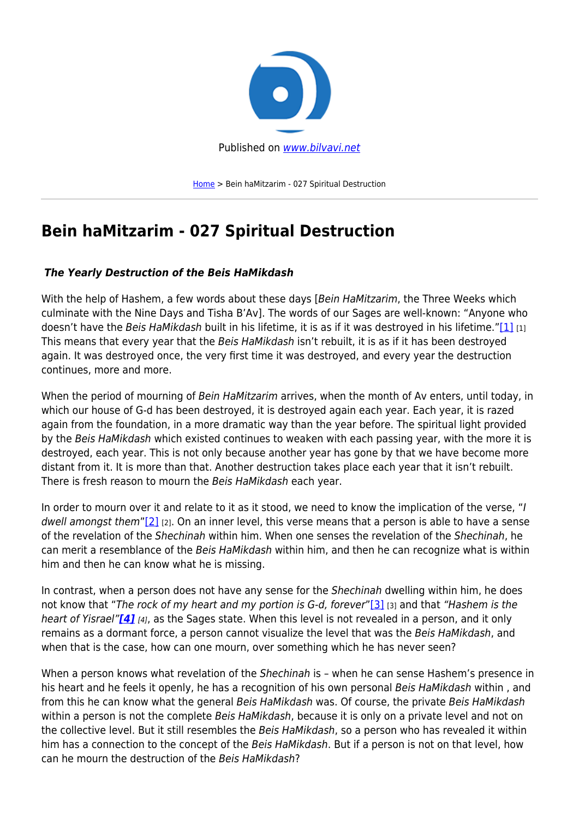

[Home](https://bilvavi.net/) > Bein haMitzarim - 027 Spiritual Destruction

# **Bein haMitzarim - 027 Spiritual Destruction**

## *The Yearly Destruction of the Beis HaMikdash*

With the help of Hashem, a few words about these days [Bein HaMitzarim, the Three Weeks which culminate with the Nine Days and Tisha B'Av]. The words of our Sages are well-known: "Anyone who doesn't have the Beis HaMikdash built in his lifetime, it is as if it was destroyed in his lifetime."[\[1\]](https:///D:/DATA-ACTIVE/BILVAVI/UPLOAD%20TO%20WEBSITE/need%20to%20place%20on%20site/TO%20UPLOAD/Bein%20HaMitzarim%20027.%20Spiritual%20Destruction%20-%20CENSORED%20V3.docx#_ftn1) [1] This means that every year that the Beis HaMikdash isn't rebuilt, it is as if it has been destroyed again. It was destroyed once, the very first time it was destroyed, and every year the destruction continues, more and more.

When the period of mourning of Bein HaMitzarim arrives, when the month of Av enters, until today, in which our house of G-d has been destroyed, it is destroyed again each year. Each year, it is razed again from the foundation, in a more dramatic way than the year before. The spiritual light provided by the Beis HaMikdash which existed continues to weaken with each passing year, with the more it is destroyed, each year. This is not only because another year has gone by that we have become more distant from it. It is more than that. Another destruction takes place each year that it isn't rebuilt. There is fresh reason to mourn the Beis HaMikdash each year.

In order to mourn over it and relate to it as it stood, we need to know the implication of the verse, "I dwell amongst them" $[2]$  [2]. On an inner level, this verse means that a person is able to have a sense of the revelation of the Shechinah within him. When one senses the revelation of the Shechinah, he can merit a resemblance of the Beis HaMikdash within him, and then he can recognize what is within him and then he can know what he is missing.

In contrast, when a person does not have any sense for the Shechinah dwelling within him, he does not know that "The rock of my heart and my portion is G-d, forever"[\[3\]](https:///D:/DATA-ACTIVE/BILVAVI/UPLOAD%20TO%20WEBSITE/need%20to%20place%20on%20site/TO%20UPLOAD/Bein%20HaMitzarim%20027.%20Spiritual%20Destruction%20-%20CENSORED%20V3.docx#_ftn3) [3] and that "Hashem is the heart of Yisrael"*[\[4\]](https:///D:/DATA-ACTIVE/BILVAVI/UPLOAD%20TO%20WEBSITE/need%20to%20place%20on%20site/TO%20UPLOAD/Bein%20HaMitzarim%20027.%20Spiritual%20Destruction%20-%20CENSORED%20V3.docx#_ftn4)* [4], as the Sages state. When this level is not revealed in a person, and it only remains as a dormant force, a person cannot visualize the level that was the Beis HaMikdash, and when that is the case, how can one mourn, over something which he has never seen?

When a person knows what revelation of the Shechinah is - when he can sense Hashem's presence in his heart and he feels it openly, he has a recognition of his own personal Beis HaMikdash within, and from this he can know what the general Beis HaMikdash was. Of course, the private Beis HaMikdash within a person is not the complete Beis HaMikdash, because it is only on a private level and not on the collective level. But it still resembles the Beis HaMikdash, so a person who has revealed it within him has a connection to the concept of the Beis HaMikdash. But if a person is not on that level, how can he mourn the destruction of the Beis HaMikdash?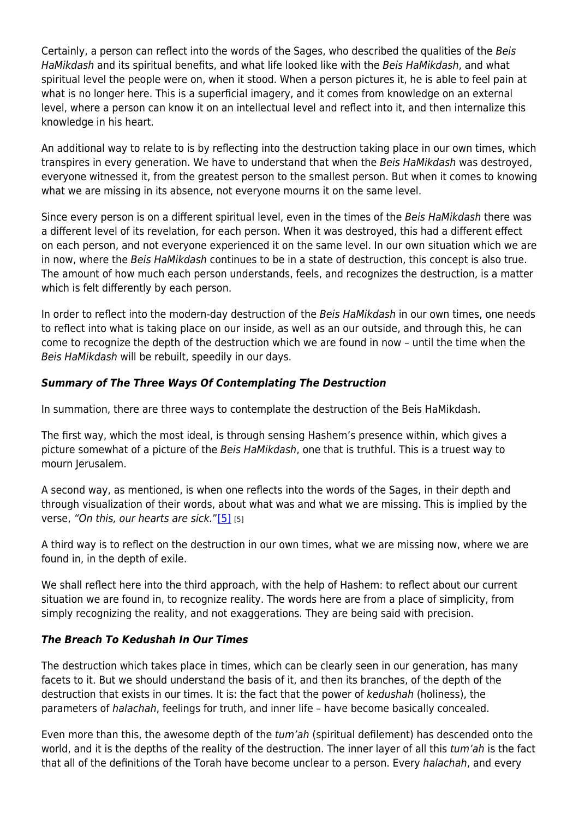Certainly, a person can reflect into the words of the Sages, who described the qualities of the Beis HaMikdash and its spiritual benefits, and what life looked like with the Beis HaMikdash, and what spiritual level the people were on, when it stood. When a person pictures it, he is able to feel pain at what is no longer here. This is a superficial imagery, and it comes from knowledge on an external level, where a person can know it on an intellectual level and reflect into it, and then internalize this knowledge in his heart.

An additional way to relate to is by reflecting into the destruction taking place in our own times, which transpires in every generation. We have to understand that when the Beis HaMikdash was destroyed, everyone witnessed it, from the greatest person to the smallest person. But when it comes to knowing what we are missing in its absence, not everyone mourns it on the same level.

Since every person is on a different spiritual level, even in the times of the Beis HaMikdash there was a different level of its revelation, for each person. When it was destroyed, this had a different effect on each person, and not everyone experienced it on the same level. In our own situation which we are in now, where the Beis HaMikdash continues to be in a state of destruction, this concept is also true. The amount of how much each person understands, feels, and recognizes the destruction, is a matter which is felt differently by each person.

In order to reflect into the modern-day destruction of the Beis HaMikdash in our own times, one needs to reflect into what is taking place on our inside, as well as an our outside, and through this, he can come to recognize the depth of the destruction which we are found in now – until the time when the Beis HaMikdash will be rebuilt, speedily in our days.

## *Summary of The Three Ways Of Contemplating The Destruction*

In summation, there are three ways to contemplate the destruction of the Beis HaMikdash.

The first way, which the most ideal, is through sensing Hashem's presence within, which gives a picture somewhat of a picture of the Beis HaMikdash, one that is truthful. This is a truest way to mourn Jerusalem.

A second way, as mentioned, is when one reflects into the words of the Sages, in their depth and through visualization of their words, about what was and what we are missing. This is implied by the verse, "On this, our hearts are sick."[\[5\]](https:///D:/DATA-ACTIVE/BILVAVI/UPLOAD%20TO%20WEBSITE/need%20to%20place%20on%20site/TO%20UPLOAD/Bein%20HaMitzarim%20027.%20Spiritual%20Destruction%20-%20CENSORED%20V3.docx#_ftn5) [5]

A third way is to reflect on the destruction in our own times, what we are missing now, where we are found in, in the depth of exile.

We shall reflect here into the third approach, with the help of Hashem: to reflect about our current situation we are found in, to recognize reality. The words here are from a place of simplicity, from simply recognizing the reality, and not exaggerations. They are being said with precision.

### *The Breach To Kedushah In Our Times*

The destruction which takes place in times, which can be clearly seen in our generation, has many facets to it. But we should understand the basis of it, and then its branches, of the depth of the destruction that exists in our times. It is: the fact that the power of kedushah (holiness), the parameters of halachah, feelings for truth, and inner life – have become basically concealed.

Even more than this, the awesome depth of the tum'ah (spiritual defilement) has descended onto the world, and it is the depths of the reality of the destruction. The inner layer of all this tum'ah is the fact that all of the definitions of the Torah have become unclear to a person. Every halachah, and every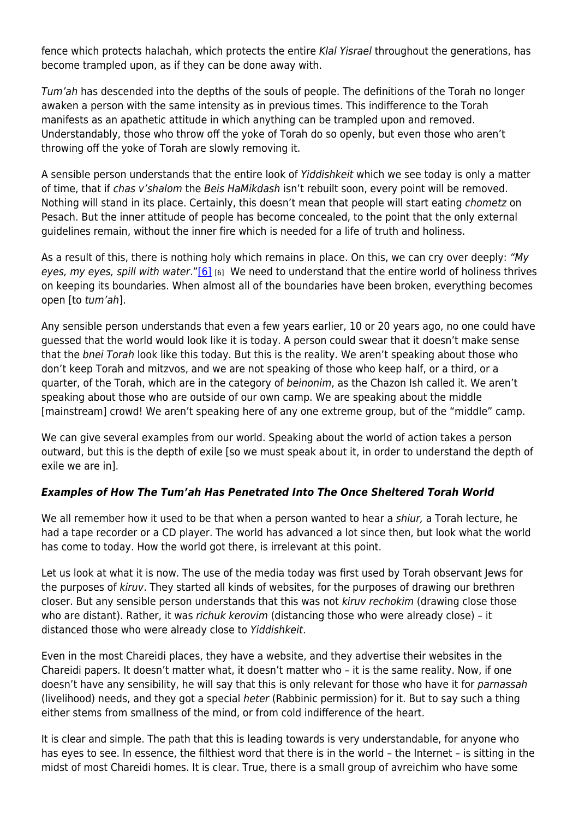fence which protects halachah, which protects the entire Klal Yisrael throughout the generations, has become trampled upon, as if they can be done away with.

Tum'ah has descended into the depths of the souls of people. The definitions of the Torah no longer awaken a person with the same intensity as in previous times. This indifference to the Torah manifests as an apathetic attitude in which anything can be trampled upon and removed. Understandably, those who throw off the yoke of Torah do so openly, but even those who aren't throwing off the yoke of Torah are slowly removing it.

A sensible person understands that the entire look of Yiddishkeit which we see today is only a matter of time, that if chas v'shalom the Beis HaMikdash isn't rebuilt soon, every point will be removed. Nothing will stand in its place. Certainly, this doesn't mean that people will start eating chometz on Pesach. But the inner attitude of people has become concealed, to the point that the only external guidelines remain, without the inner fire which is needed for a life of truth and holiness.

As a result of this, there is nothing holy which remains in place. On this, we can cry over deeply: "My eyes, my eyes, spill with water." $[6]$  [6] We need to understand that the entire world of holiness thrives on keeping its boundaries. When almost all of the boundaries have been broken, everything becomes open [to tum'ah].

Any sensible person understands that even a few years earlier, 10 or 20 years ago, no one could have guessed that the world would look like it is today. A person could swear that it doesn't make sense that the bnei Torah look like this today. But this is the reality. We aren't speaking about those who don't keep Torah and mitzvos, and we are not speaking of those who keep half, or a third, or a quarter, of the Torah, which are in the category of beinonim, as the Chazon Ish called it. We aren't speaking about those who are outside of our own camp. We are speaking about the middle [mainstream] crowd! We aren't speaking here of any one extreme group, but of the "middle" camp.

We can give several examples from our world. Speaking about the world of action takes a person outward, but this is the depth of exile [so we must speak about it, in order to understand the depth of exile we are in].

## *Examples of How The Tum'ah Has Penetrated Into The Once Sheltered Torah World*

We all remember how it used to be that when a person wanted to hear a shiur, a Torah lecture, he had a tape recorder or a CD player. The world has advanced a lot since then, but look what the world has come to today. How the world got there, is irrelevant at this point.

Let us look at what it is now. The use of the media today was first used by Torah observant Jews for the purposes of kiruv. They started all kinds of websites, for the purposes of drawing our brethren closer. But any sensible person understands that this was not kiruv rechokim (drawing close those who are distant). Rather, it was richuk kerovim (distancing those who were already close) - it distanced those who were already close to Yiddishkeit.

Even in the most Chareidi places, they have a website, and they advertise their websites in the Chareidi papers. It doesn't matter what, it doesn't matter who – it is the same reality. Now, if one doesn't have any sensibility, he will say that this is only relevant for those who have it for parnassah (livelihood) needs, and they got a special heter (Rabbinic permission) for it. But to say such a thing either stems from smallness of the mind, or from cold indifference of the heart.

It is clear and simple. The path that this is leading towards is very understandable, for anyone who has eyes to see. In essence, the filthiest word that there is in the world – the Internet – is sitting in the midst of most Chareidi homes. It is clear. True, there is a small group of avreichim who have some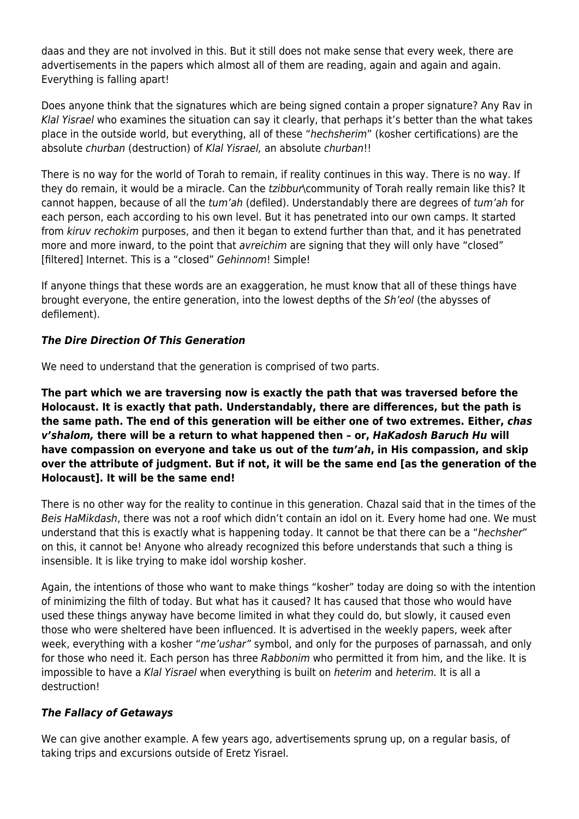daas and they are not involved in this. But it still does not make sense that every week, there are advertisements in the papers which almost all of them are reading, again and again and again. Everything is falling apart!

Does anyone think that the signatures which are being signed contain a proper signature? Any Rav in Klal Yisrael who examines the situation can say it clearly, that perhaps it's better than the what takes place in the outside world, but everything, all of these "hechsherim" (kosher certifications) are the absolute churban (destruction) of Klal Yisrael, an absolute churban!!

There is no way for the world of Torah to remain, if reality continues in this way. There is no way. If they do remain, it would be a miracle. Can the tzibbur\community of Torah really remain like this? It cannot happen, because of all the tum'ah (defiled). Understandably there are degrees of tum'ah for each person, each according to his own level. But it has penetrated into our own camps. It started from kiruv rechokim purposes, and then it began to extend further than that, and it has penetrated more and more inward, to the point that *avreichim* are signing that they will only have "closed" [filtered] Internet. This is a "closed" Gehinnom! Simple!

If anyone things that these words are an exaggeration, he must know that all of these things have brought everyone, the entire generation, into the lowest depths of the Sh'eol (the abysses of defilement).

## *The Dire Direction Of This Generation*

We need to understand that the generation is comprised of two parts.

**The part which we are traversing now is exactly the path that was traversed before the Holocaust. It is exactly that path. Understandably, there are differences, but the path is the same path. The end of this generation will be either one of two extremes. Either,** *chas v'shalom,* **there will be a return to what happened then – or,** *HaKadosh Baruch Hu* **will have compassion on everyone and take us out of the** *tum'ah***, in His compassion, and skip over the attribute of judgment. But if not, it will be the same end [as the generation of the Holocaust]. It will be the same end!**

There is no other way for the reality to continue in this generation. Chazal said that in the times of the Beis HaMikdash, there was not a roof which didn't contain an idol on it. Every home had one. We must understand that this is exactly what is happening today. It cannot be that there can be a "hechsher" on this, it cannot be! Anyone who already recognized this before understands that such a thing is insensible. It is like trying to make idol worship kosher.

Again, the intentions of those who want to make things "kosher" today are doing so with the intention of minimizing the filth of today. But what has it caused? It has caused that those who would have used these things anyway have become limited in what they could do, but slowly, it caused even those who were sheltered have been influenced. It is advertised in the weekly papers, week after week, everything with a kosher "me'ushar" symbol, and only for the purposes of parnassah, and only for those who need it. Each person has three Rabbonim who permitted it from him, and the like. It is impossible to have a Klal Yisrael when everything is built on heterim and heterim. It is all a destruction!

### *The Fallacy of Getaways*

We can give another example. A few years ago, advertisements sprung up, on a regular basis, of taking trips and excursions outside of Eretz Yisrael.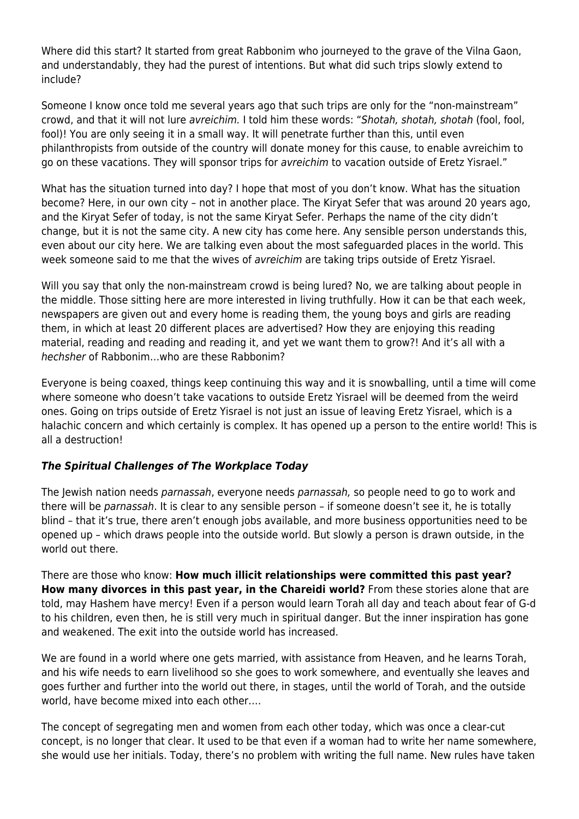Where did this start? It started from great Rabbonim who journeyed to the grave of the Vilna Gaon, and understandably, they had the purest of intentions. But what did such trips slowly extend to include?

Someone I know once told me several years ago that such trips are only for the "non-mainstream" crowd, and that it will not lure avreichim. I told him these words: "Shotah, shotah, shotah (fool, fool, fool)! You are only seeing it in a small way. It will penetrate further than this, until even philanthropists from outside of the country will donate money for this cause, to enable avreichim to go on these vacations. They will sponsor trips for avreichim to vacation outside of Eretz Yisrael."

What has the situation turned into day? I hope that most of you don't know. What has the situation become? Here, in our own city – not in another place. The Kiryat Sefer that was around 20 years ago, and the Kiryat Sefer of today, is not the same Kiryat Sefer. Perhaps the name of the city didn't change, but it is not the same city. A new city has come here. Any sensible person understands this, even about our city here. We are talking even about the most safeguarded places in the world. This week someone said to me that the wives of avreichim are taking trips outside of Eretz Yisrael.

Will you say that only the non-mainstream crowd is being lured? No, we are talking about people in the middle. Those sitting here are more interested in living truthfully. How it can be that each week, newspapers are given out and every home is reading them, the young boys and girls are reading them, in which at least 20 different places are advertised? How they are enjoying this reading material, reading and reading and reading it, and yet we want them to grow?! And it's all with a hechsher of Rabbonim…who are these Rabbonim?

Everyone is being coaxed, things keep continuing this way and it is snowballing, until a time will come where someone who doesn't take vacations to outside Eretz Yisrael will be deemed from the weird ones. Going on trips outside of Eretz Yisrael is not just an issue of leaving Eretz Yisrael, which is a halachic concern and which certainly is complex. It has opened up a person to the entire world! This is all a destruction!

## *The Spiritual Challenges of The Workplace Today*

The Jewish nation needs parnassah, everyone needs parnassah, so people need to go to work and there will be parnassah. It is clear to any sensible person – if someone doesn't see it, he is totally blind – that it's true, there aren't enough jobs available, and more business opportunities need to be opened up – which draws people into the outside world. But slowly a person is drawn outside, in the world out there.

There are those who know: **How much illicit relationships were committed this past year? How many divorces in this past year, in the Chareidi world?** From these stories alone that are told, may Hashem have mercy! Even if a person would learn Torah all day and teach about fear of G-d to his children, even then, he is still very much in spiritual danger. But the inner inspiration has gone and weakened. The exit into the outside world has increased.

We are found in a world where one gets married, with assistance from Heaven, and he learns Torah, and his wife needs to earn livelihood so she goes to work somewhere, and eventually she leaves and goes further and further into the world out there, in stages, until the world of Torah, and the outside world, have become mixed into each other….

The concept of segregating men and women from each other today, which was once a clear-cut concept, is no longer that clear. It used to be that even if a woman had to write her name somewhere, she would use her initials. Today, there's no problem with writing the full name. New rules have taken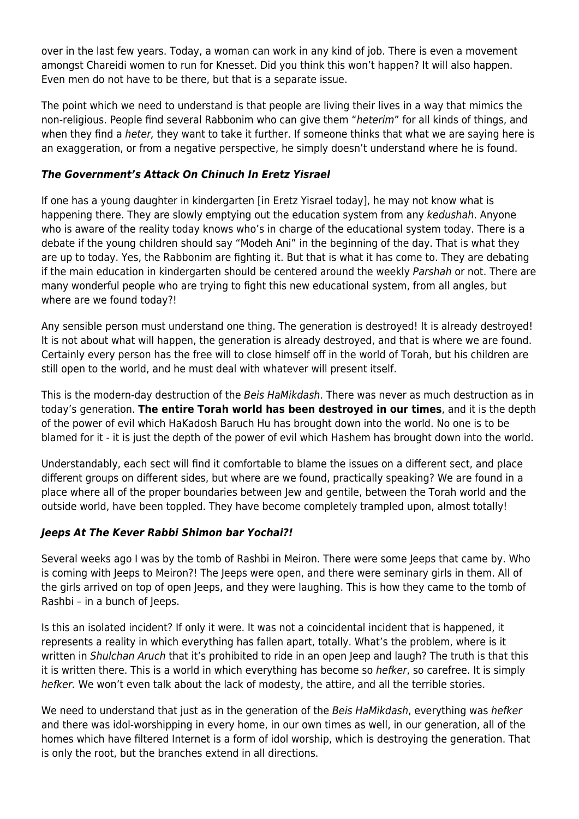over in the last few years. Today, a woman can work in any kind of job. There is even a movement amongst Chareidi women to run for Knesset. Did you think this won't happen? It will also happen. Even men do not have to be there, but that is a separate issue.

The point which we need to understand is that people are living their lives in a way that mimics the non-religious. People find several Rabbonim who can give them "heterim" for all kinds of things, and when they find a heter, they want to take it further. If someone thinks that what we are saying here is an exaggeration, or from a negative perspective, he simply doesn't understand where he is found.

## *The Government's Attack On Chinuch In Eretz Yisrael*

If one has a young daughter in kindergarten [in Eretz Yisrael today], he may not know what is happening there. They are slowly emptying out the education system from any kedushah. Anyone who is aware of the reality today knows who's in charge of the educational system today. There is a debate if the young children should say "Modeh Ani" in the beginning of the day. That is what they are up to today. Yes, the Rabbonim are fighting it. But that is what it has come to. They are debating if the main education in kindergarten should be centered around the weekly Parshah or not. There are many wonderful people who are trying to fight this new educational system, from all angles, but where are we found today?!

Any sensible person must understand one thing. The generation is destroyed! It is already destroyed! It is not about what will happen, the generation is already destroyed, and that is where we are found. Certainly every person has the free will to close himself off in the world of Torah, but his children are still open to the world, and he must deal with whatever will present itself.

This is the modern-day destruction of the Beis HaMikdash. There was never as much destruction as in today's generation. **The entire Torah world has been destroyed in our times**, and it is the depth of the power of evil which HaKadosh Baruch Hu has brought down into the world. No one is to be blamed for it - it is just the depth of the power of evil which Hashem has brought down into the world.

Understandably, each sect will find it comfortable to blame the issues on a different sect, and place different groups on different sides, but where are we found, practically speaking? We are found in a place where all of the proper boundaries between Jew and gentile, between the Torah world and the outside world, have been toppled. They have become completely trampled upon, almost totally!

### *Jeeps At The Kever Rabbi Shimon bar Yochai?!*

Several weeks ago I was by the tomb of Rashbi in Meiron. There were some Jeeps that came by. Who is coming with Jeeps to Meiron?! The Jeeps were open, and there were seminary girls in them. All of the girls arrived on top of open Jeeps, and they were laughing. This is how they came to the tomb of Rashbi – in a bunch of Jeeps.

Is this an isolated incident? If only it were. It was not a coincidental incident that is happened, it represents a reality in which everything has fallen apart, totally. What's the problem, where is it written in Shulchan Aruch that it's prohibited to ride in an open Jeep and laugh? The truth is that this it is written there. This is a world in which everything has become so hefker, so carefree. It is simply hefker. We won't even talk about the lack of modesty, the attire, and all the terrible stories.

We need to understand that just as in the generation of the Beis HaMikdash, everything was hefker and there was idol-worshipping in every home, in our own times as well, in our generation, all of the homes which have filtered Internet is a form of idol worship, which is destroying the generation. That is only the root, but the branches extend in all directions.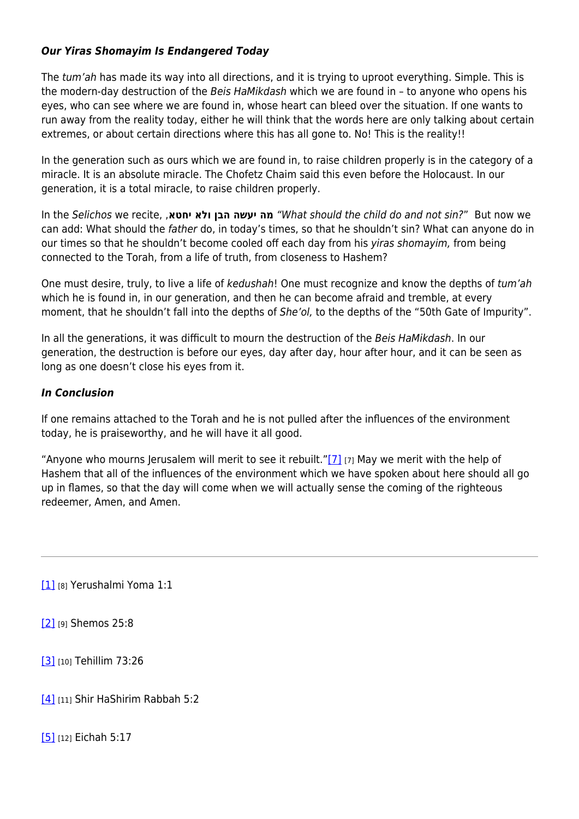### *Our Yiras Shomayim Is Endangered Today*

The tum'ah has made its way into all directions, and it is trying to uproot everything. Simple. This is the modern-day destruction of the Beis HaMikdash which we are found in - to anyone who opens his eyes, who can see where we are found in, whose heart can bleed over the situation. If one wants to run away from the reality today, either he will think that the words here are only talking about certain extremes, or about certain directions where this has all gone to. No! This is the reality!!

In the generation such as ours which we are found in, to raise children properly is in the category of a miracle. It is an absolute miracle. The Chofetz Chaim said this even before the Holocaust. In our generation, it is a total miracle, to raise children properly.

In the Selichos we recite, ,**יחטא ולא הבן יעשה מה**" What should the child do and not sin?" But now we can add: What should the father do, in today's times, so that he shouldn't sin? What can anyone do in our times so that he shouldn't become cooled off each day from his yiras shomayim, from being connected to the Torah, from a life of truth, from closeness to Hashem?

One must desire, truly, to live a life of kedushah! One must recognize and know the depths of tum'ah which he is found in, in our generation, and then he can become afraid and tremble, at every moment, that he shouldn't fall into the depths of She'ol, to the depths of the "50th Gate of Impurity".

In all the generations, it was difficult to mourn the destruction of the Beis HaMikdash. In our generation, the destruction is before our eyes, day after day, hour after hour, and it can be seen as long as one doesn't close his eyes from it.

## *In Conclusion*

If one remains attached to the Torah and he is not pulled after the influences of the environment today, he is praiseworthy, and he will have it all good.

"Anyone who mourns Jerusalem will merit to see it rebuilt.["\[7\]](https:///D:/DATA-ACTIVE/BILVAVI/UPLOAD%20TO%20WEBSITE/need%20to%20place%20on%20site/TO%20UPLOAD/Bein%20HaMitzarim%20027.%20Spiritual%20Destruction%20-%20CENSORED%20V3.docx#_ftn7)  $_{[7]}$  May we merit with the help of Hashem that all of the influences of the environment which we have spoken about here should all go up in flames, so that the day will come when we will actually sense the coming of the righteous redeemer, Amen, and Amen.

[\[1\]](https:///D:/DATA-ACTIVE/BILVAVI/UPLOAD%20TO%20WEBSITE/need%20to%20place%20on%20site/TO%20UPLOAD/Bein%20HaMitzarim%20027.%20Spiritual%20Destruction%20-%20CENSORED%20V3.docx#_ftnref1) [8] Yerushalmi Yoma 1:1

[\[2\]](https:///D:/DATA-ACTIVE/BILVAVI/UPLOAD%20TO%20WEBSITE/need%20to%20place%20on%20site/TO%20UPLOAD/Bein%20HaMitzarim%20027.%20Spiritual%20Destruction%20-%20CENSORED%20V3.docx#_ftnref2) [9] Shemos 25:8

[\[3\]](https:///D:/DATA-ACTIVE/BILVAVI/UPLOAD%20TO%20WEBSITE/need%20to%20place%20on%20site/TO%20UPLOAD/Bein%20HaMitzarim%20027.%20Spiritual%20Destruction%20-%20CENSORED%20V3.docx#_ftnref3) [10] Tehillim 73:26

[\[4\]](https:///D:/DATA-ACTIVE/BILVAVI/UPLOAD%20TO%20WEBSITE/need%20to%20place%20on%20site/TO%20UPLOAD/Bein%20HaMitzarim%20027.%20Spiritual%20Destruction%20-%20CENSORED%20V3.docx#_ftnref4) [11] Shir HaShirim Rabbah 5:2

[\[5\]](https:///D:/DATA-ACTIVE/BILVAVI/UPLOAD%20TO%20WEBSITE/need%20to%20place%20on%20site/TO%20UPLOAD/Bein%20HaMitzarim%20027.%20Spiritual%20Destruction%20-%20CENSORED%20V3.docx#_ftnref5) [12] Eichah 5:17